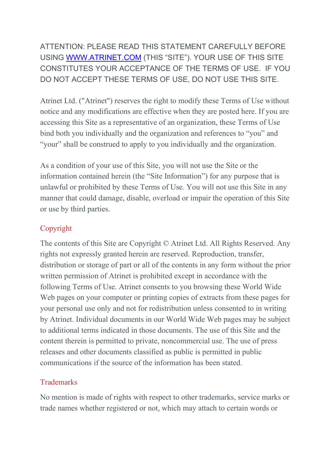ATTENTION: PLEASE READ THIS STATEMENT CAREFULLY BEFORE USING [WWW.ATRINET.COM](http://www.atrinet.com/) (THIS "SITE"). YOUR USE OF THIS SITE CONSTITUTES YOUR ACCEPTANCE OF THE TERMS OF USE. IF YOU DO NOT ACCEPT THESE TERMS OF USE, DO NOT USE THIS SITE.

Atrinet Ltd. ("Atrinet") reserves the right to modify these Terms of Use without notice and any modifications are effective when they are posted here. If you are accessing this Site as a representative of an organization, these Terms of Use bind both you individually and the organization and references to "you" and "your" shall be construed to apply to you individually and the organization.

As a condition of your use of this Site, you will not use the Site or the information contained herein (the "Site Information") for any purpose that is unlawful or prohibited by these Terms of Use. You will not use this Site in any manner that could damage, disable, overload or impair the operation of this Site or use by third parties.

# Copyright

The contents of this Site are Copyright © Atrinet Ltd. All Rights Reserved. Any rights not expressly granted herein are reserved. Reproduction, transfer, distribution or storage of part or all of the contents in any form without the prior written permission of Atrinet is prohibited except in accordance with the following Terms of Use. Atrinet consents to you browsing these World Wide Web pages on your computer or printing copies of extracts from these pages for your personal use only and not for redistribution unless consented to in writing by Atrinet. Individual documents in our World Wide Web pages may be subject to additional terms indicated in those documents. The use of this Site and the content therein is permitted to private, noncommercial use. The use of press releases and other documents classified as public is permitted in public communications if the source of the information has been stated.

# **Trademarks**

No mention is made of rights with respect to other trademarks, service marks or trade names whether registered or not, which may attach to certain words or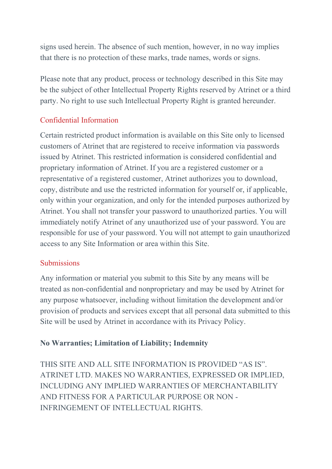signs used herein. The absence of such mention, however, in no way implies that there is no protection of these marks, trade names, words or signs.

Please note that any product, process or technology described in this Site may be the subject of other Intellectual Property Rights reserved by Atrinet or a third party. No right to use such Intellectual Property Right is granted hereunder.

# Confidential Information

Certain restricted product information is available on this Site only to licensed customers of Atrinet that are registered to receive information via passwords issued by Atrinet. This restricted information is considered confidential and proprietary information of Atrinet. If you are a registered customer or a representative of a registered customer, Atrinet authorizes you to download, copy, distribute and use the restricted information for yourself or, if applicable, only within your organization, and only for the intended purposes authorized by Atrinet. You shall not transfer your password to unauthorized parties. You will immediately notify Atrinet of any unauthorized use of your password. You are responsible for use of your password. You will not attempt to gain unauthorized access to any Site Information or area within this Site.

#### **Submissions**

Any information or material you submit to this Site by any means will be treated as non-confidential and nonproprietary and may be used by Atrinet for any purpose whatsoever, including without limitation the development and/or provision of products and services except that all personal data submitted to this Site will be used by Atrinet in accordance with its Privacy Policy.

# **No Warranties; Limitation of Liability; Indemnity**

THIS SITE AND ALL SITE INFORMATION IS PROVIDED "AS IS". ATRINET LTD. MAKES NO WARRANTIES, EXPRESSED OR IMPLIED, INCLUDING ANY IMPLIED WARRANTIES OF MERCHANTABILITY AND FITNESS FOR A PARTICULAR PURPOSE OR NON - INFRINGEMENT OF INTELLECTUAL RIGHTS.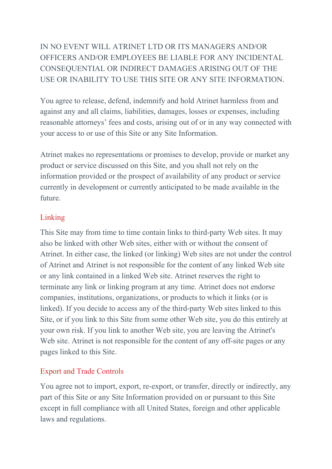# IN NO EVENT WILL ATRINET LTD OR ITS MANAGERS AND/OR OFFICERS AND/OR EMPLOYEES BE LIABLE FOR ANY INCIDENTAL CONSEQUENTIAL OR INDIRECT DAMAGES ARISING OUT OF THE USE OR INABILITY TO USE THIS SITE OR ANY SITE INFORMATION.

You agree to release, defend, indemnify and hold Atrinet harmless from and against any and all claims, liabilities, damages, losses or expenses, including reasonable attorneys' fees and costs, arising out of or in any way connected with your access to or use of this Site or any Site Information.

Atrinet makes no representations or promises to develop, provide or market any product or service discussed on this Site, and you shall not rely on the information provided or the prospect of availability of any product or service currently in development or currently anticipated to be made available in the future.

### Linking

This Site may from time to time contain links to third-party Web sites. It may also be linked with other Web sites, either with or without the consent of Atrinet. In either case, the linked (or linking) Web sites are not under the control of Atrinet and Atrinet is not responsible for the content of any linked Web site or any link contained in a linked Web site. Atrinet reserves the right to terminate any link or linking program at any time. Atrinet does not endorse companies, institutions, organizations, or products to which it links (or is linked). If you decide to access any of the third-party Web sites linked to this Site, or if you link to this Site from some other Web site, you do this entirely at your own risk. If you link to another Web site, you are leaving the Atrinet's Web site. Atrinet is not responsible for the content of any off-site pages or any pages linked to this Site.

# Export and Trade Controls

You agree not to import, export, re-export, or transfer, directly or indirectly, any part of this Site or any Site Information provided on or pursuant to this Site except in full compliance with all United States, foreign and other applicable laws and regulations.